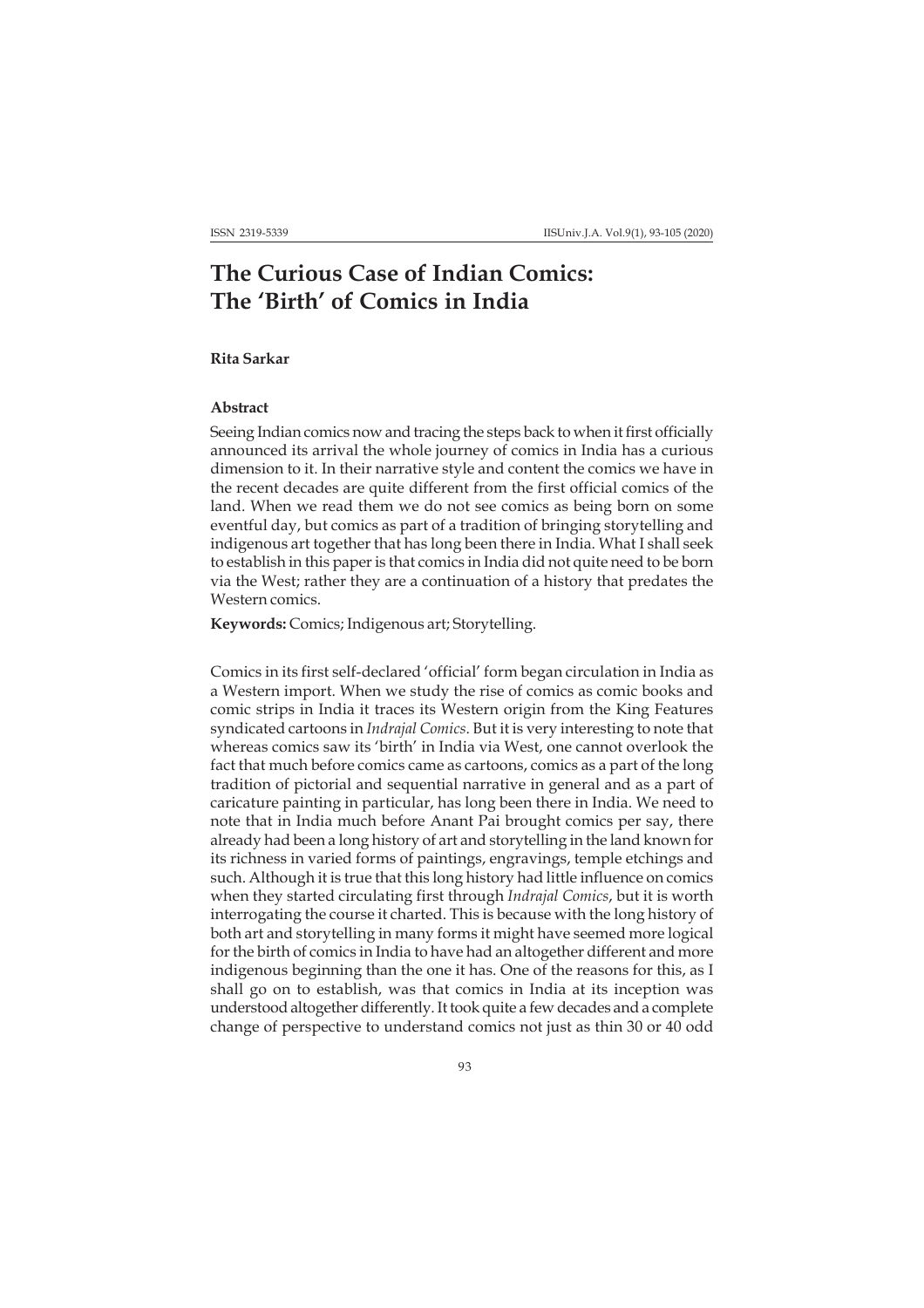# **The Curious Case of Indian Comics: The 'Birth' of Comics in India**

## **Rita Sarkar**

## **Abstract**

Seeing Indian comics now and tracing the steps back to when it first officially announced its arrival the whole journey of comics in India has a curious dimension to it. In their narrative style and content the comics we have in the recent decades are quite different from the first official comics of the land. When we read them we do not see comics as being born on some eventful day, but comics as part of a tradition of bringing storytelling and indigenous art together that has long been there in India. What I shall seek to establish in this paper is that comics in India did not quite need to be born via the West; rather they are a continuation of a history that predates the Western comics.

**Keywords:** Comics; Indigenous art; Storytelling.

Comics in its first self-declared 'official' form began circulation in India as a Western import. When we study the rise of comics as comic books and comic strips in India it traces its Western origin from the King Features syndicated cartoons in *Indrajal Comics*. But it is very interesting to note that whereas comics saw its 'birth' in India via West, one cannot overlook the fact that much before comics came as cartoons, comics as a part of the long tradition of pictorial and sequential narrative in general and as a part of caricature painting in particular, has long been there in India. We need to note that in India much before Anant Pai brought comics per say, there already had been a long history of art and storytelling in the land known for its richness in varied forms of paintings, engravings, temple etchings and such. Although it is true that this long history had little influence on comics when they started circulating first through *Indrajal Comics*, but it is worth interrogating the course it charted. This is because with the long history of both art and storytelling in many forms it might have seemed more logical for the birth of comics in India to have had an altogether different and more indigenous beginning than the one it has. One of the reasons for this, as I shall go on to establish, was that comics in India at its inception was understood altogether differently. It took quite a few decades and a complete change of perspective to understand comics not just as thin 30 or 40 odd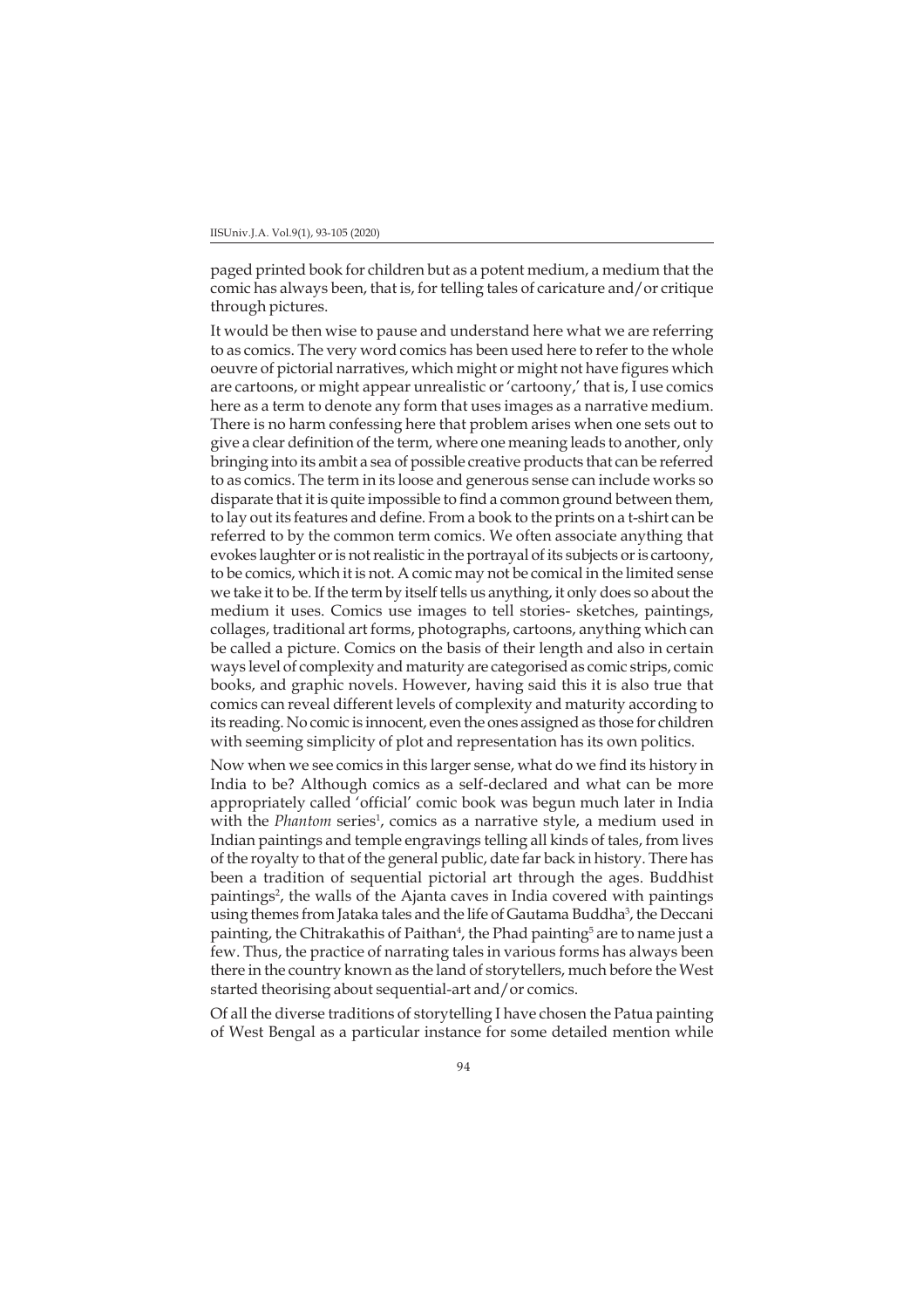paged printed book for children but as a potent medium, a medium that the comic has always been, that is, for telling tales of caricature and/or critique through pictures.

It would be then wise to pause and understand here what we are referring to as comics. The very word comics has been used here to refer to the whole oeuvre of pictorial narratives, which might or might not have figures which are cartoons, or might appear unrealistic or 'cartoony,' that is, I use comics here as a term to denote any form that uses images as a narrative medium. There is no harm confessing here that problem arises when one sets out to give a clear definition of the term, where one meaning leads to another, only bringing into its ambit a sea of possible creative products that can be referred to as comics. The term in its loose and generous sense can include works so disparate that it is quite impossible to find a common ground between them, to lay out its features and define. From a book to the prints on a t-shirt can be referred to by the common term comics. We often associate anything that evokes laughter or is not realistic in the portrayal of its subjects or is cartoony, to be comics, which it is not. A comic may not be comical in the limited sense we take it to be. If the term by itself tells us anything, it only does so about the medium it uses. Comics use images to tell stories- sketches, paintings, collages, traditional art forms, photographs, cartoons, anything which can be called a picture. Comics on the basis of their length and also in certain ways level of complexity and maturity are categorised as comic strips, comic books, and graphic novels. However, having said this it is also true that comics can reveal different levels of complexity and maturity according to its reading. No comic is innocent, even the ones assigned as those for children with seeming simplicity of plot and representation has its own politics.

Now when we see comics in this larger sense, what do we find its history in India to be? Although comics as a self-declared and what can be more appropriately called 'official' comic book was begun much later in India with the *Phantom* series<sup>1</sup>, comics as a narrative style, a medium used in Indian paintings and temple engravings telling all kinds of tales, from lives of the royalty to that of the general public, date far back in history. There has been a tradition of sequential pictorial art through the ages. Buddhist paintings<sup>2</sup>, the walls of the Ajanta caves in India covered with paintings using themes from Jataka tales and the life of Gautama Buddha<sup>3</sup>, the Deccani painting, the Chitrakathis of Paithan<sup>4</sup>, the Phad painting<sup>5</sup> are to name just a few. Thus, the practice of narrating tales in various forms has always been there in the country known as the land of storytellers, much before the West started theorising about sequential-art and/or comics.

Of all the diverse traditions of storytelling I have chosen the Patua painting of West Bengal as a particular instance for some detailed mention while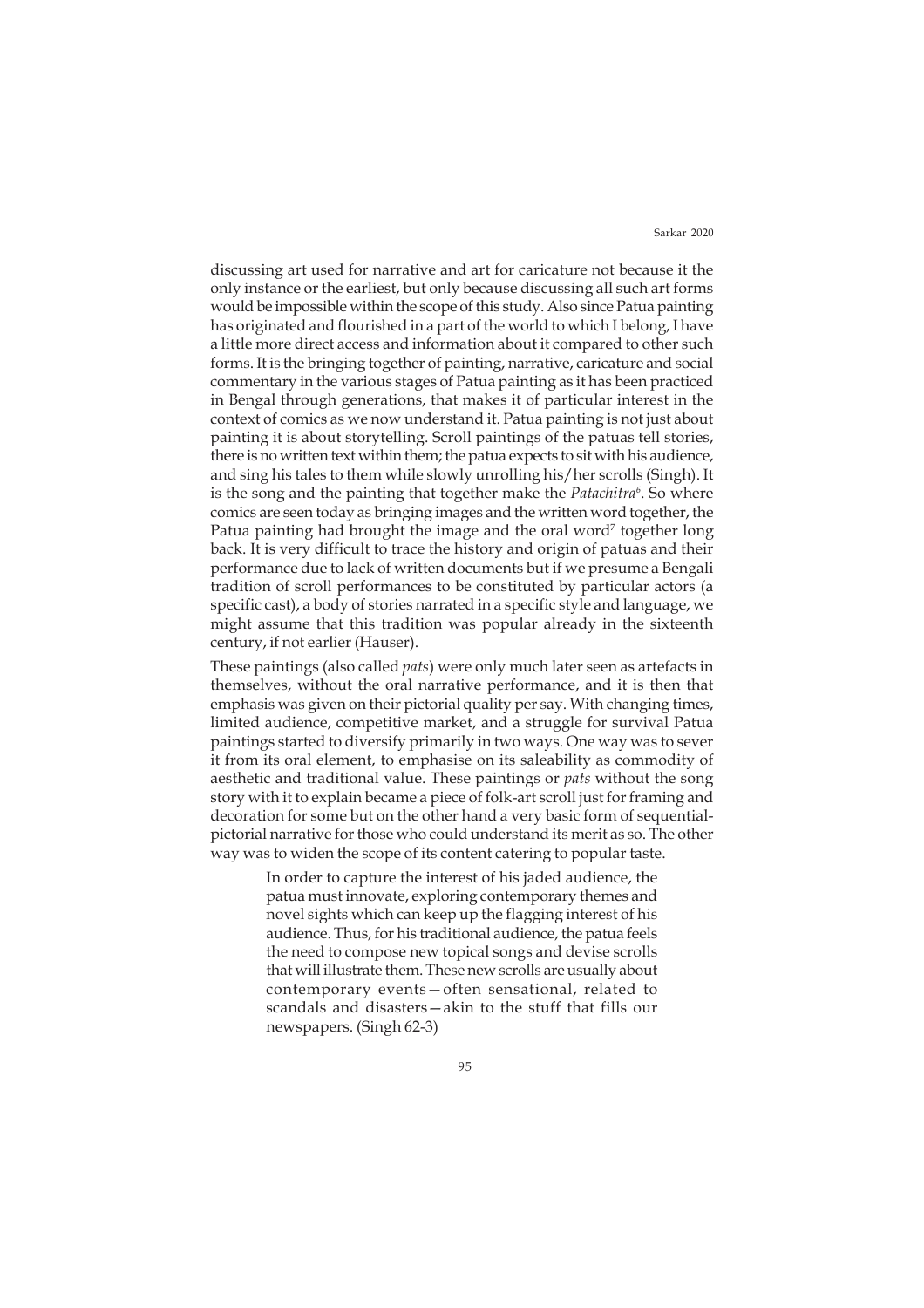discussing art used for narrative and art for caricature not because it the only instance or the earliest, but only because discussing all such art forms would be impossible within the scope of this study. Also since Patua painting has originated and flourished in a part of the world to which I belong, I have a little more direct access and information about it compared to other such forms. It is the bringing together of painting, narrative, caricature and social commentary in the various stages of Patua painting as it has been practiced in Bengal through generations, that makes it of particular interest in the context of comics as we now understand it. Patua painting is not just about painting it is about storytelling. Scroll paintings of the patuas tell stories, there is no written text within them; the patua expects to sit with his audience, and sing his tales to them while slowly unrolling his/her scrolls (Singh). It is the song and the painting that together make the *Patachitra6* . So where comics are seen today as bringing images and the written word together, the Patua painting had brought the image and the oral word<sup>7</sup> together long back. It is very difficult to trace the history and origin of patuas and their performance due to lack of written documents but if we presume a Bengali tradition of scroll performances to be constituted by particular actors (a specific cast), a body of stories narrated in a specific style and language, we might assume that this tradition was popular already in the sixteenth century, if not earlier (Hauser).

These paintings (also called *pats*) were only much later seen as artefacts in themselves, without the oral narrative performance, and it is then that emphasis was given on their pictorial quality per say. With changing times, limited audience, competitive market, and a struggle for survival Patua paintings started to diversify primarily in two ways. One way was to sever it from its oral element, to emphasise on its saleability as commodity of aesthetic and traditional value. These paintings or *pats* without the song story with it to explain became a piece of folk-art scroll just for framing and decoration for some but on the other hand a very basic form of sequentialpictorial narrative for those who could understand its merit as so. The other way was to widen the scope of its content catering to popular taste.

> In order to capture the interest of his jaded audience, the patua must innovate, exploring contemporary themes and novel sights which can keep up the flagging interest of his audience. Thus, for his traditional audience, the patua feels the need to compose new topical songs and devise scrolls that will illustrate them. These new scrolls are usually about contemporary events—often sensational, related to scandals and disasters—akin to the stuff that fills our newspapers. (Singh 62-3)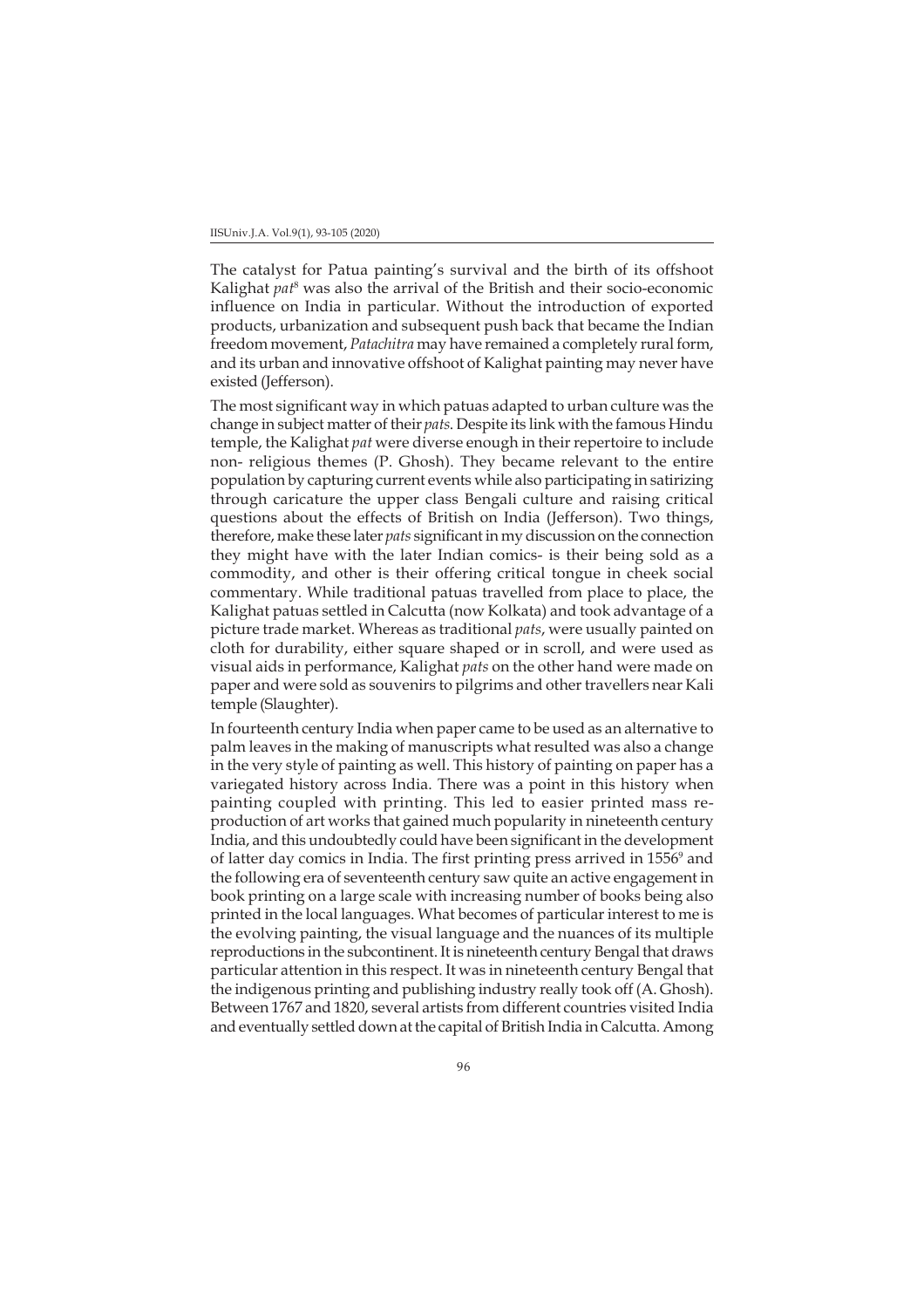### IISUniv.J.A. Vol.9(1), 93-105 (2020)

The catalyst for Patua painting's survival and the birth of its offshoot Kalighat *pat*<sup>8</sup> was also the arrival of the British and their socio-economic influence on India in particular. Without the introduction of exported products, urbanization and subsequent push back that became the Indian freedom movement, *Patachitra* may have remained a completely rural form, and its urban and innovative offshoot of Kalighat painting may never have existed (Jefferson).

The most significant way in which patuas adapted to urban culture was the change in subject matter of their *pats*. Despite its link with the famous Hindu temple, the Kalighat *pat* were diverse enough in their repertoire to include non- religious themes (P. Ghosh). They became relevant to the entire population by capturing current events while also participating in satirizing through caricature the upper class Bengali culture and raising critical questions about the effects of British on India (Jefferson). Two things, therefore, make these later *pats* significant in my discussion on the connection they might have with the later Indian comics- is their being sold as a commodity, and other is their offering critical tongue in cheek social commentary. While traditional patuas travelled from place to place, the Kalighat patuas settled in Calcutta (now Kolkata) and took advantage of a picture trade market. Whereas as traditional *pats*, were usually painted on cloth for durability, either square shaped or in scroll, and were used as visual aids in performance, Kalighat *pats* on the other hand were made on paper and were sold as souvenirs to pilgrims and other travellers near Kali temple (Slaughter).

In fourteenth century India when paper came to be used as an alternative to palm leaves in the making of manuscripts what resulted was also a change in the very style of painting as well. This history of painting on paper has a variegated history across India. There was a point in this history when painting coupled with printing. This led to easier printed mass reproduction of art works that gained much popularity in nineteenth century India, and this undoubtedly could have been significant in the development of latter day comics in India. The first printing press arrived in 1556<sup>9</sup> and the following era of seventeenth century saw quite an active engagement in book printing on a large scale with increasing number of books being also printed in the local languages. What becomes of particular interest to me is the evolving painting, the visual language and the nuances of its multiple reproductions in the subcontinent. It is nineteenth century Bengal that draws particular attention in this respect. It was in nineteenth century Bengal that the indigenous printing and publishing industry really took off (A. Ghosh). Between 1767 and 1820, several artists from different countries visited India and eventually settled down at the capital of British India in Calcutta. Among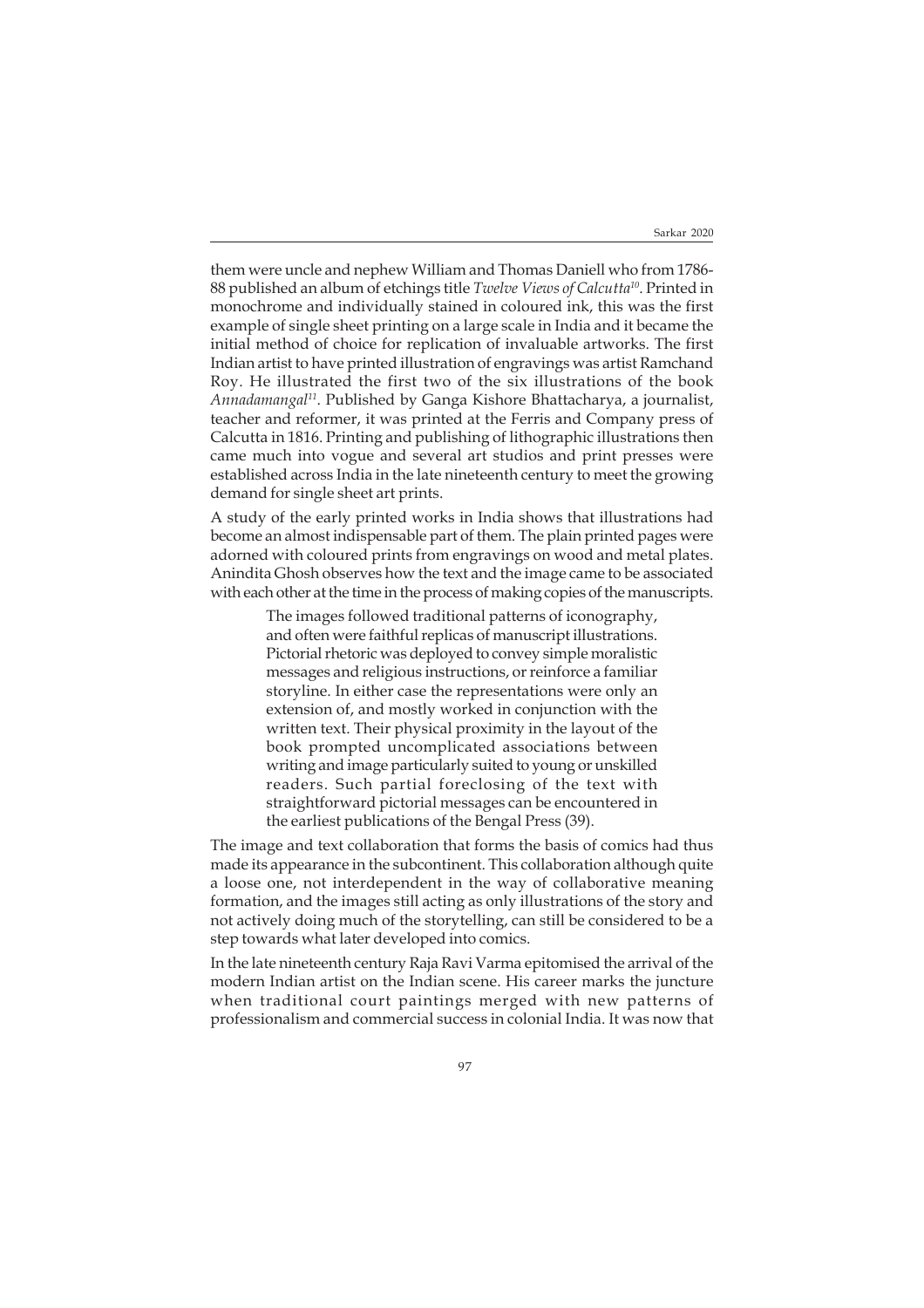them were uncle and nephew William and Thomas Daniell who from 1786- 88 published an album of etchings title *Twelve Views of Calcutta10*. Printed in monochrome and individually stained in coloured ink, this was the first example of single sheet printing on a large scale in India and it became the initial method of choice for replication of invaluable artworks. The first Indian artist to have printed illustration of engravings was artist Ramchand Roy. He illustrated the first two of the six illustrations of the book *Annadamangal11*. Published by Ganga Kishore Bhattacharya, a journalist, teacher and reformer, it was printed at the Ferris and Company press of Calcutta in 1816. Printing and publishing of lithographic illustrations then came much into vogue and several art studios and print presses were established across India in the late nineteenth century to meet the growing demand for single sheet art prints.

A study of the early printed works in India shows that illustrations had become an almost indispensable part of them. The plain printed pages were adorned with coloured prints from engravings on wood and metal plates. Anindita Ghosh observes how the text and the image came to be associated with each other at the time in the process of making copies of the manuscripts.

> The images followed traditional patterns of iconography, and often were faithful replicas of manuscript illustrations. Pictorial rhetoric was deployed to convey simple moralistic messages and religious instructions, or reinforce a familiar storyline. In either case the representations were only an extension of, and mostly worked in conjunction with the written text. Their physical proximity in the layout of the book prompted uncomplicated associations between writing and image particularly suited to young or unskilled readers. Such partial foreclosing of the text with straightforward pictorial messages can be encountered in the earliest publications of the Bengal Press (39).

The image and text collaboration that forms the basis of comics had thus made its appearance in the subcontinent. This collaboration although quite a loose one, not interdependent in the way of collaborative meaning formation, and the images still acting as only illustrations of the story and not actively doing much of the storytelling, can still be considered to be a step towards what later developed into comics.

In the late nineteenth century Raja Ravi Varma epitomised the arrival of the modern Indian artist on the Indian scene. His career marks the juncture when traditional court paintings merged with new patterns of professionalism and commercial success in colonial India. It was now that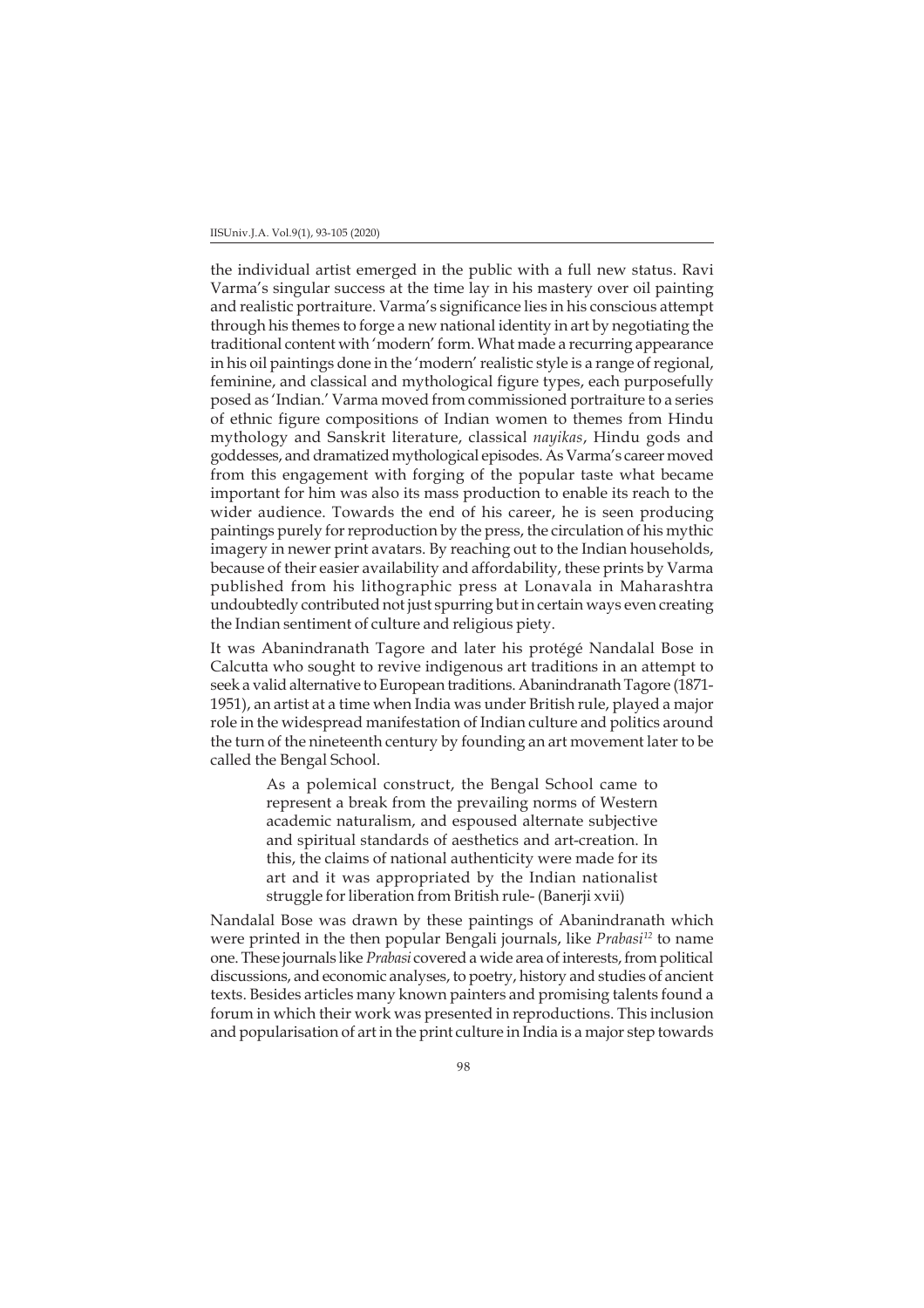the individual artist emerged in the public with a full new status. Ravi Varma's singular success at the time lay in his mastery over oil painting and realistic portraiture. Varma's significance lies in his conscious attempt through his themes to forge a new national identity in art by negotiating the traditional content with 'modern' form. What made a recurring appearance in his oil paintings done in the 'modern' realistic style is a range of regional, feminine, and classical and mythological figure types, each purposefully posed as 'Indian.' Varma moved from commissioned portraiture to a series of ethnic figure compositions of Indian women to themes from Hindu mythology and Sanskrit literature, classical *nayikas*, Hindu gods and goddesses, and dramatized mythological episodes. As Varma's career moved from this engagement with forging of the popular taste what became important for him was also its mass production to enable its reach to the wider audience. Towards the end of his career, he is seen producing paintings purely for reproduction by the press, the circulation of his mythic imagery in newer print avatars. By reaching out to the Indian households, because of their easier availability and affordability, these prints by Varma published from his lithographic press at Lonavala in Maharashtra undoubtedly contributed not just spurring but in certain ways even creating the Indian sentiment of culture and religious piety.

It was Abanindranath Tagore and later his protégé Nandalal Bose in Calcutta who sought to revive indigenous art traditions in an attempt to seek a valid alternative to European traditions. Abanindranath Tagore (1871- 1951), an artist at a time when India was under British rule, played a major role in the widespread manifestation of Indian culture and politics around the turn of the nineteenth century by founding an art movement later to be called the Bengal School.

> As a polemical construct, the Bengal School came to represent a break from the prevailing norms of Western academic naturalism, and espoused alternate subjective and spiritual standards of aesthetics and art-creation. In this, the claims of national authenticity were made for its art and it was appropriated by the Indian nationalist struggle for liberation from British rule- (Banerji xvii)

Nandalal Bose was drawn by these paintings of Abanindranath which were printed in the then popular Bengali journals, like *Prabasi12* to name one. These journals like *Prabasi* covered a wide area of interests, from political discussions, and economic analyses, to poetry, history and studies of ancient texts. Besides articles many known painters and promising talents found a forum in which their work was presented in reproductions. This inclusion and popularisation of art in the print culture in India is a major step towards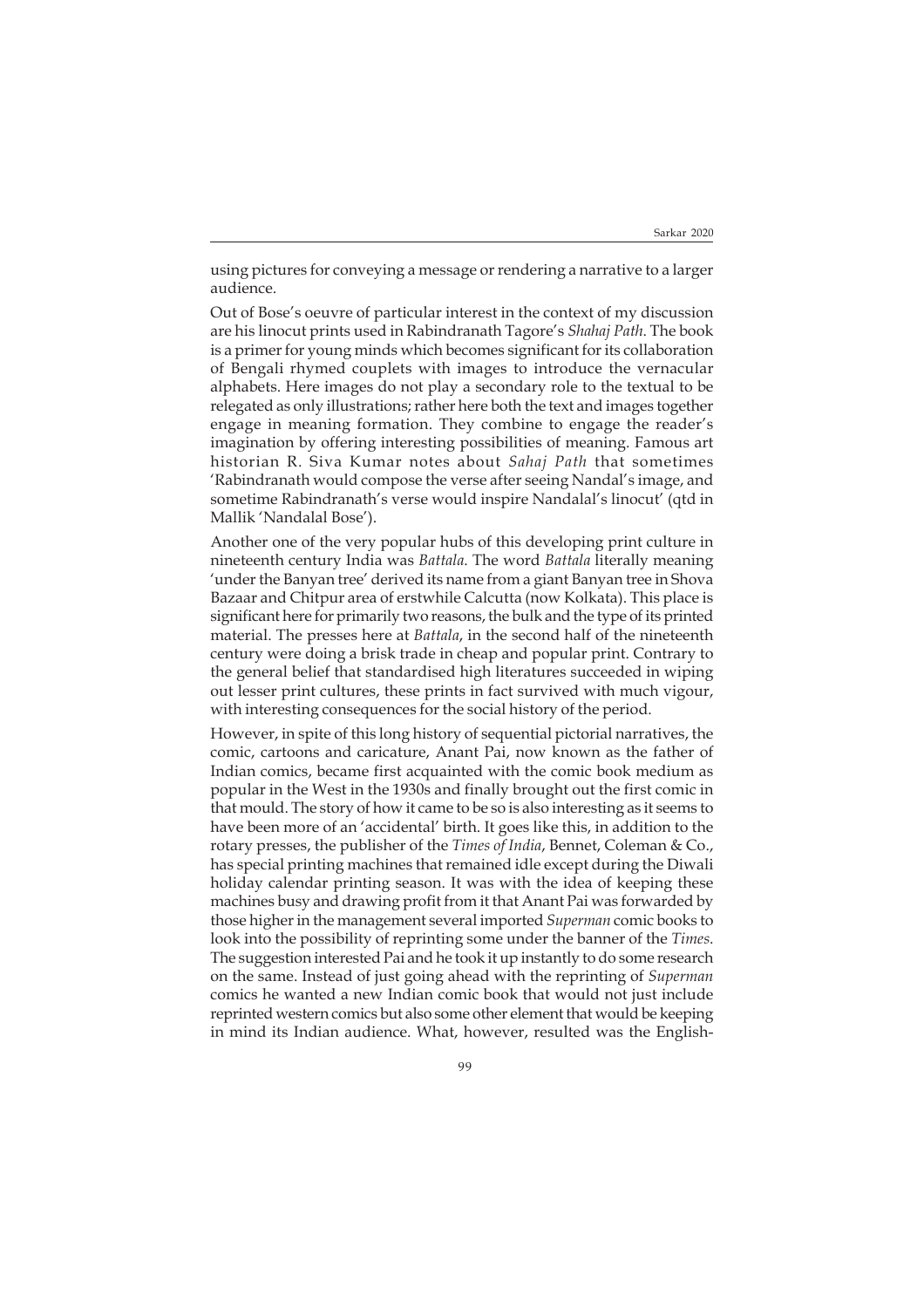using pictures for conveying a message or rendering a narrative to a larger audience.

Out of Bose's oeuvre of particular interest in the context of my discussion are his linocut prints used in Rabindranath Tagore's *Shahaj Path*. The book is a primer for young minds which becomes significant for its collaboration of Bengali rhymed couplets with images to introduce the vernacular alphabets. Here images do not play a secondary role to the textual to be relegated as only illustrations; rather here both the text and images together engage in meaning formation. They combine to engage the reader's imagination by offering interesting possibilities of meaning. Famous art historian R. Siva Kumar notes about *Sahaj Path* that sometimes 'Rabindranath would compose the verse after seeing Nandal's image, and sometime Rabindranath's verse would inspire Nandalal's linocut' (qtd in Mallik 'Nandalal Bose').

Another one of the very popular hubs of this developing print culture in nineteenth century India was *Battala*. The word *Battala* literally meaning 'under the Banyan tree' derived its name from a giant Banyan tree in Shova Bazaar and Chitpur area of erstwhile Calcutta (now Kolkata). This place is significant here for primarily two reasons, the bulk and the type of its printed material. The presses here at *Battala*, in the second half of the nineteenth century were doing a brisk trade in cheap and popular print. Contrary to the general belief that standardised high literatures succeeded in wiping out lesser print cultures, these prints in fact survived with much vigour, with interesting consequences for the social history of the period.

However, in spite of this long history of sequential pictorial narratives, the comic, cartoons and caricature, Anant Pai, now known as the father of Indian comics, became first acquainted with the comic book medium as popular in the West in the 1930s and finally brought out the first comic in that mould. The story of how it came to be so is also interesting as it seems to have been more of an 'accidental' birth. It goes like this, in addition to the rotary presses, the publisher of the *Times of India*, Bennet, Coleman & Co., has special printing machines that remained idle except during the Diwali holiday calendar printing season. It was with the idea of keeping these machines busy and drawing profit from it that Anant Pai was forwarded by those higher in the management several imported *Superman* comic books to look into the possibility of reprinting some under the banner of the *Times*. The suggestion interested Pai and he took it up instantly to do some research on the same. Instead of just going ahead with the reprinting of *Superman* comics he wanted a new Indian comic book that would not just include reprinted western comics but also some other element that would be keeping in mind its Indian audience. What, however, resulted was the English-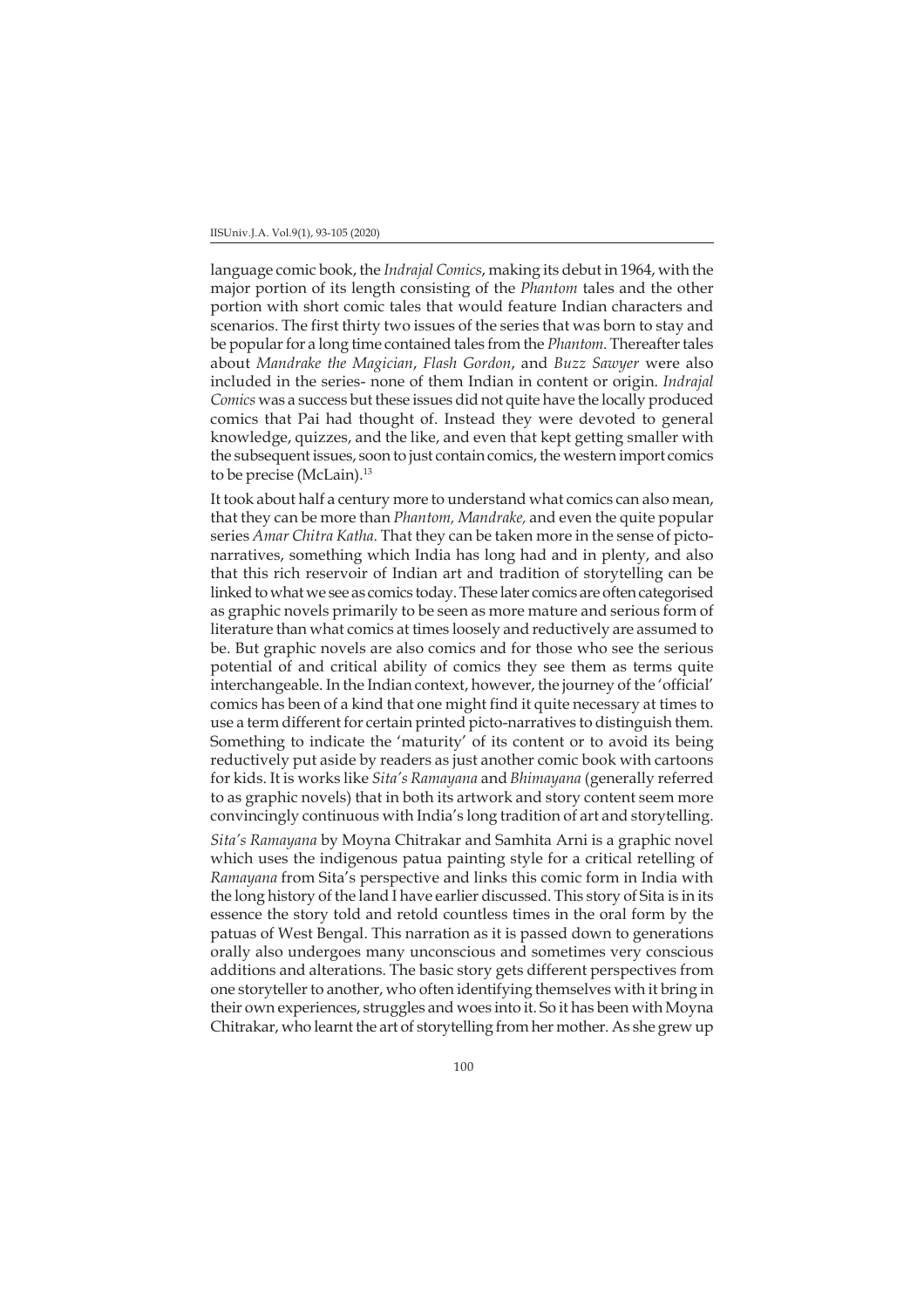#### IISUniv.J.A. Vol.9(1), 93-105 (2020)

language comic book, the *Indrajal Comics*, making its debut in 1964, with the major portion of its length consisting of the *Phantom* tales and the other portion with short comic tales that would feature Indian characters and scenarios. The first thirty two issues of the series that was born to stay and be popular for a long time contained tales from the *Phantom*. Thereafter tales about *Mandrake the Magician*, *Flash Gordon*, and *Buzz Sawyer* were also included in the series- none of them Indian in content or origin. *Indrajal Comics* was a success but these issues did not quite have the locally produced comics that Pai had thought of. Instead they were devoted to general knowledge, quizzes, and the like, and even that kept getting smaller with the subsequent issues, soon to just contain comics, the western import comics to be precise (McLain).<sup>13</sup>

It took about half a century more to understand what comics can also mean, that they can be more than *Phantom, Mandrake,* and even the quite popular series *Amar Chitra Katha*. That they can be taken more in the sense of pictonarratives, something which India has long had and in plenty, and also that this rich reservoir of Indian art and tradition of storytelling can be linked to what we see as comics today. These later comics are often categorised as graphic novels primarily to be seen as more mature and serious form of literature than what comics at times loosely and reductively are assumed to be. But graphic novels are also comics and for those who see the serious potential of and critical ability of comics they see them as terms quite interchangeable. In the Indian context, however, the journey of the 'official' comics has been of a kind that one might find it quite necessary at times to use a term different for certain printed picto-narratives to distinguish them. Something to indicate the 'maturity' of its content or to avoid its being reductively put aside by readers as just another comic book with cartoons for kids. It is works like *Sita's Ramayana* and *Bhimayana* (generally referred to as graphic novels) that in both its artwork and story content seem more convincingly continuous with India's long tradition of art and storytelling.

*Sita's Ramayana* by Moyna Chitrakar and Samhita Arni is a graphic novel which uses the indigenous patua painting style for a critical retelling of *Ramayana* from Sita's perspective and links this comic form in India with the long history of the land I have earlier discussed. This story of Sita is in its essence the story told and retold countless times in the oral form by the patuas of West Bengal. This narration as it is passed down to generations orally also undergoes many unconscious and sometimes very conscious additions and alterations. The basic story gets different perspectives from one storyteller to another, who often identifying themselves with it bring in their own experiences, struggles and woes into it. So it has been with Moyna Chitrakar, who learnt the art of storytelling from her mother. As she grew up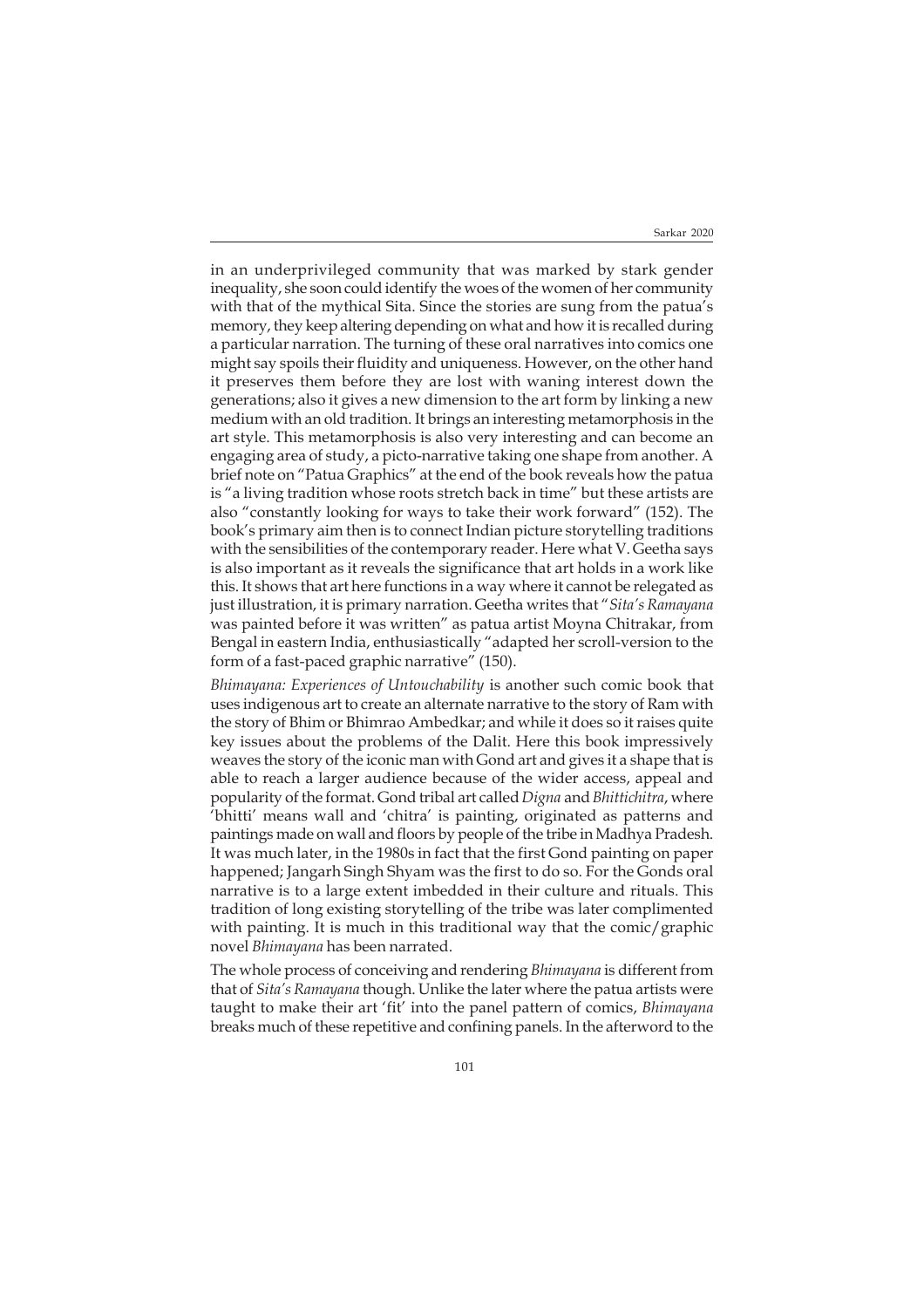in an underprivileged community that was marked by stark gender inequality, she soon could identify the woes of the women of her community with that of the mythical Sita. Since the stories are sung from the patua's memory, they keep altering depending on what and how it is recalled during a particular narration. The turning of these oral narratives into comics one might say spoils their fluidity and uniqueness. However, on the other hand it preserves them before they are lost with waning interest down the generations; also it gives a new dimension to the art form by linking a new medium with an old tradition. It brings an interesting metamorphosis in the art style. This metamorphosis is also very interesting and can become an engaging area of study, a picto-narrative taking one shape from another. A brief note on "Patua Graphics" at the end of the book reveals how the patua is "a living tradition whose roots stretch back in time" but these artists are also "constantly looking for ways to take their work forward" (152). The book's primary aim then is to connect Indian picture storytelling traditions with the sensibilities of the contemporary reader. Here what V. Geetha says is also important as it reveals the significance that art holds in a work like this. It shows that art here functions in a way where it cannot be relegated as just illustration, it is primary narration. Geetha writes that "*Sita's Ramayana* was painted before it was written" as patua artist Moyna Chitrakar, from Bengal in eastern India, enthusiastically "adapted her scroll-version to the form of a fast-paced graphic narrative" (150).

*Bhimayana: Experiences of Untouchability* is another such comic book that uses indigenous art to create an alternate narrative to the story of Ram with the story of Bhim or Bhimrao Ambedkar; and while it does so it raises quite key issues about the problems of the Dalit. Here this book impressively weaves the story of the iconic man with Gond art and gives it a shape that is able to reach a larger audience because of the wider access, appeal and popularity of the format. Gond tribal art called *Digna* and *Bhittichitra*, where 'bhitti' means wall and 'chitra' is painting, originated as patterns and paintings made on wall and floors by people of the tribe in Madhya Pradesh. It was much later, in the 1980s in fact that the first Gond painting on paper happened; Jangarh Singh Shyam was the first to do so. For the Gonds oral narrative is to a large extent imbedded in their culture and rituals. This tradition of long existing storytelling of the tribe was later complimented with painting. It is much in this traditional way that the comic/graphic novel *Bhimayana* has been narrated.

The whole process of conceiving and rendering *Bhimayana* is different from that of *Sita's Ramayana* though. Unlike the later where the patua artists were taught to make their art 'fit' into the panel pattern of comics, *Bhimayana* breaks much of these repetitive and confining panels. In the afterword to the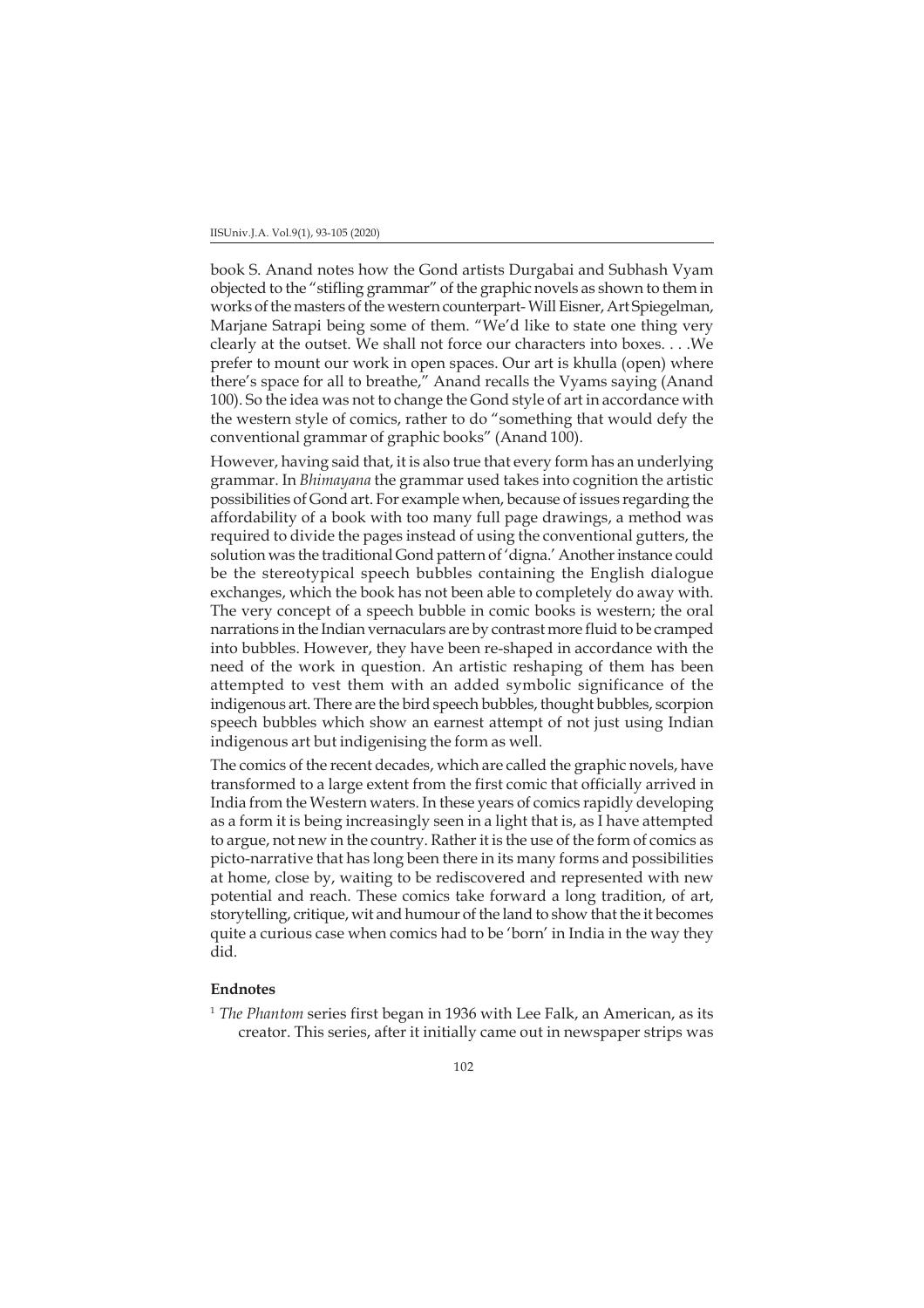## IISUniv.J.A. Vol.9(1), 93-105 (2020)

book S. Anand notes how the Gond artists Durgabai and Subhash Vyam objected to the "stifling grammar" of the graphic novels as shown to them in works of the masters of the western counterpart- Will Eisner, Art Spiegelman, Marjane Satrapi being some of them. "We'd like to state one thing very clearly at the outset. We shall not force our characters into boxes. . . .We prefer to mount our work in open spaces. Our art is khulla (open) where there's space for all to breathe," Anand recalls the Vyams saying (Anand 100). So the idea was not to change the Gond style of art in accordance with the western style of comics, rather to do "something that would defy the conventional grammar of graphic books" (Anand 100).

However, having said that, it is also true that every form has an underlying grammar. In *Bhimayana* the grammar used takes into cognition the artistic possibilities of Gond art. For example when, because of issues regarding the affordability of a book with too many full page drawings, a method was required to divide the pages instead of using the conventional gutters, the solution was the traditional Gond pattern of 'digna.' Another instance could be the stereotypical speech bubbles containing the English dialogue exchanges, which the book has not been able to completely do away with. The very concept of a speech bubble in comic books is western; the oral narrations in the Indian vernaculars are by contrast more fluid to be cramped into bubbles. However, they have been re-shaped in accordance with the need of the work in question. An artistic reshaping of them has been attempted to vest them with an added symbolic significance of the indigenous art. There are the bird speech bubbles, thought bubbles, scorpion speech bubbles which show an earnest attempt of not just using Indian indigenous art but indigenising the form as well.

The comics of the recent decades, which are called the graphic novels, have transformed to a large extent from the first comic that officially arrived in India from the Western waters. In these years of comics rapidly developing as a form it is being increasingly seen in a light that is, as I have attempted to argue, not new in the country. Rather it is the use of the form of comics as picto-narrative that has long been there in its many forms and possibilities at home, close by, waiting to be rediscovered and represented with new potential and reach. These comics take forward a long tradition, of art, storytelling, critique, wit and humour of the land to show that the it becomes quite a curious case when comics had to be 'born' in India in the way they did.

# **Endnotes**

<sup>1</sup> *The Phantom* series first began in 1936 with Lee Falk, an American, as its creator. This series, after it initially came out in newspaper strips was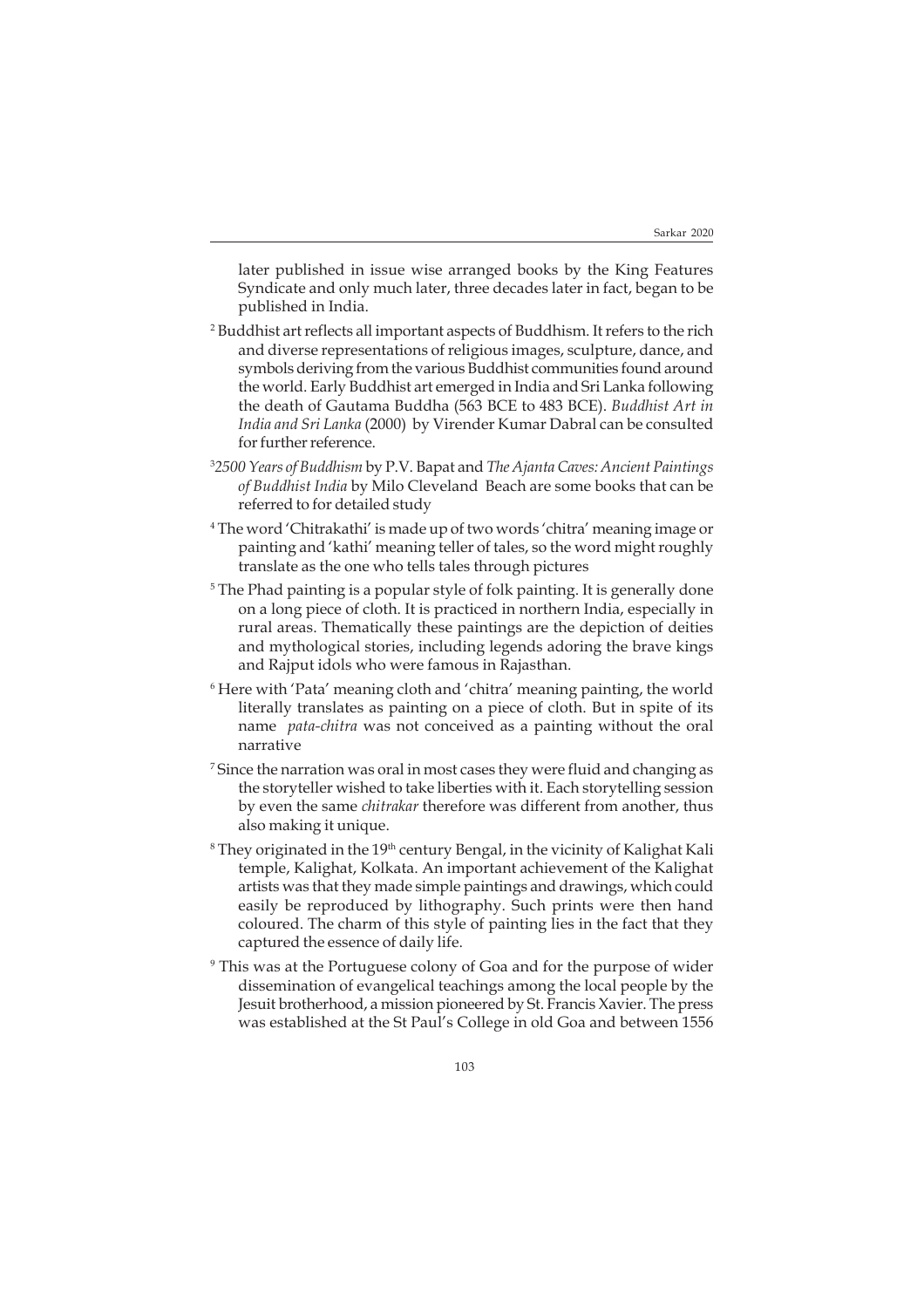later published in issue wise arranged books by the King Features Syndicate and only much later, three decades later in fact, began to be published in India.

- 2 Buddhist art reflects all important aspects of Buddhism. It refers to the rich and diverse representations of religious images, sculpture, dance, and symbols deriving from the various Buddhist communities found around the world. Early Buddhist art emerged in India and Sri Lanka following the death of Gautama Buddha (563 BCE to 483 BCE). *Buddhist Art in India and Sri Lanka* (2000) by Virender Kumar Dabral can be consulted for further reference.
- 3 *2500 Years of Buddhism* by P.V. Bapat and *The Ajanta Caves: Ancient Paintings of Buddhist India* by Milo Cleveland Beach are some books that can be referred to for detailed study
- 4 The word 'Chitrakathi' is made up of two words 'chitra' meaning image or painting and 'kathi' meaning teller of tales, so the word might roughly translate as the one who tells tales through pictures
- 5 The Phad painting is a popular style of folk painting. It is generally done on a long piece of cloth. It is practiced in northern India, especially in rural areas. Thematically these paintings are the depiction of deities and mythological stories, including legends adoring the brave kings and Rajput idols who were famous in Rajasthan.
- 6 Here with 'Pata' meaning cloth and 'chitra' meaning painting, the world literally translates as painting on a piece of cloth. But in spite of its name *pata-chitra* was not conceived as a painting without the oral narrative
- 7 Since the narration was oral in most cases they were fluid and changing as the storyteller wished to take liberties with it. Each storytelling session by even the same *chitrakar* therefore was different from another, thus also making it unique.
- $^8$ They originated in the 19<sup>th</sup> century Bengal, in the vicinity of Kalighat Kali temple, Kalighat, Kolkata. An important achievement of the Kalighat artists was that they made simple paintings and drawings, which could easily be reproduced by lithography. Such prints were then hand coloured. The charm of this style of painting lies in the fact that they captured the essence of daily life.
- 9 This was at the Portuguese colony of Goa and for the purpose of wider dissemination of evangelical teachings among the local people by the Jesuit brotherhood, a mission pioneered by St. Francis Xavier. The press was established at the St Paul's College in old Goa and between 1556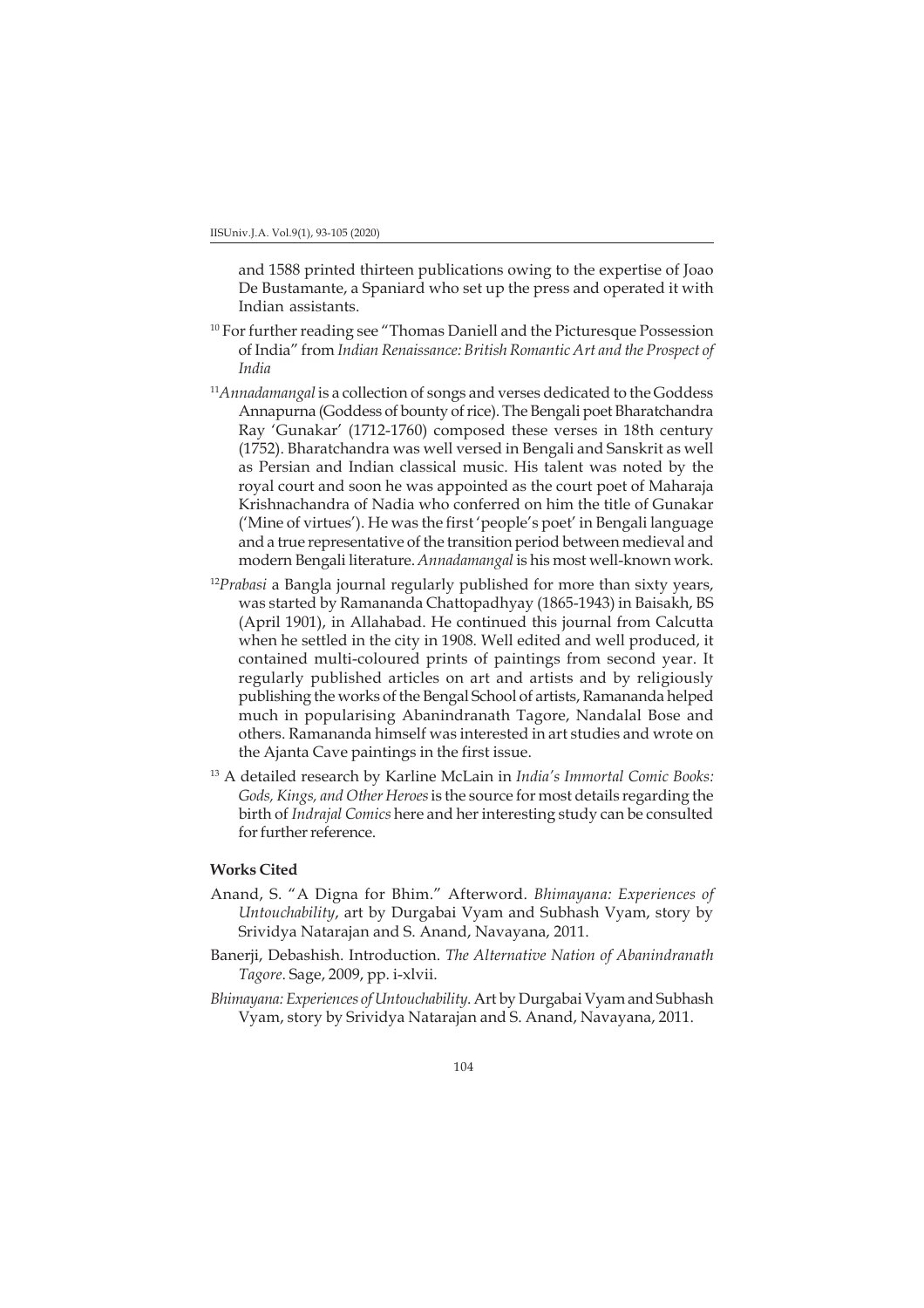and 1588 printed thirteen publications owing to the expertise of Joao De Bustamante, a Spaniard who set up the press and operated it with Indian assistants.

- <sup>10</sup> For further reading see "Thomas Daniell and the Picturesque Possession of India" from *Indian Renaissance: British Romantic Art and the Prospect of India*
- <sup>11</sup>*Annadamangal* is a collection of songs and verses dedicated to the Goddess Annapurna (Goddess of bounty of rice). The Bengali poet Bharatchandra Ray 'Gunakar' (1712-1760) composed these verses in 18th century (1752). Bharatchandra was well versed in Bengali and Sanskrit as well as Persian and Indian classical music. His talent was noted by the royal court and soon he was appointed as the court poet of Maharaja Krishnachandra of Nadia who conferred on him the title of Gunakar ('Mine of virtues'). He was the first 'people's poet' in Bengali language and a true representative of the transition period between medieval and modern Bengali literature. *Annadamangal* is his most well-known work.
- <sup>12</sup>Prabasi a Bangla journal regularly published for more than sixty years, was started by Ramananda Chattopadhyay (1865-1943) in Baisakh, BS (April 1901), in Allahabad. He continued this journal from Calcutta when he settled in the city in 1908. Well edited and well produced, it contained multi-coloured prints of paintings from second year. It regularly published articles on art and artists and by religiously publishing the works of the Bengal School of artists, Ramananda helped much in popularising Abanindranath Tagore, Nandalal Bose and others. Ramananda himself was interested in art studies and wrote on the Ajanta Cave paintings in the first issue.
- 13 A detailed research by Karline McLain in *India's Immortal Comic Books: Gods, Kings, and Other Heroes* is the source for most details regarding the birth of *Indrajal Comics* here and her interesting study can be consulted for further reference.

## **Works Cited**

- Anand, S. "A Digna for Bhim." Afterword. *Bhimayana: Experiences of Untouchability*, art by Durgabai Vyam and Subhash Vyam, story by Srividya Natarajan and S. Anand, Navayana, 2011.
- Banerji, Debashish. Introduction. *The Alternative Nation of Abanindranath Tagore*. Sage, 2009, pp. i-xlvii.
- *Bhimayana: Experiences of Untouchability*. Art by Durgabai Vyam and Subhash Vyam, story by Srividya Natarajan and S. Anand, Navayana, 2011.